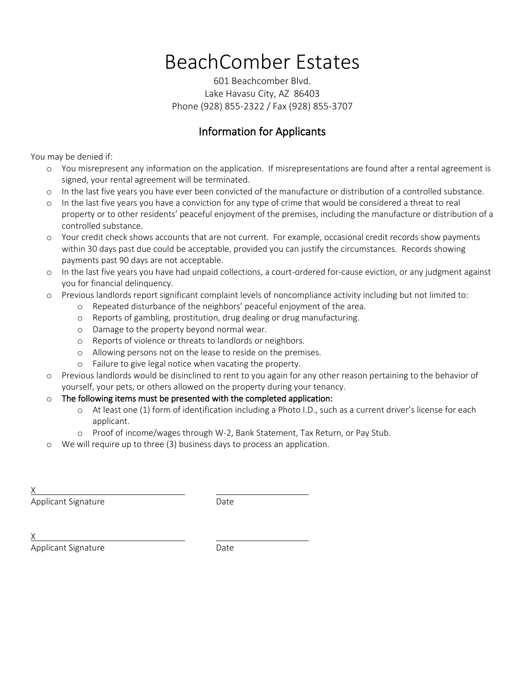# BeachComber Estates

601 Beachcomber Blvd. Lake Havasu City, AZ 86403 Phone (928) 855-2322 / Fax (928) 855-3707

#### Information for Applicants

You may be denied if:

- o You misrepresent any information on the application. If misrepresentations are found after a rental agreement is signed, your rental agreement will be terminated.
- o In the last five years you have ever been convicted of the manufacture or distribution of a controlled substance.
- o In the last five years you have a conviction for any type of crime that would be considered a threat to real property or to other residents' peaceful enjoyment of the premises, including the manufacture or distribution of a controlled substance.
- o Your credit check shows accounts that are not current. For example, occasional credit records show payments within 30 days past due could be acceptable, provided you can justify the circumstances. Records showing payments past 90 days are not acceptable.
- o In the last five years you have had unpaid collections, a court-ordered for-cause eviction, or any judgment against you for financial delinquency.
- o Previous landlords report significant complaint levels of noncompliance activity including but not limited to:
	- o Repeated disturbance of the neighbors' peaceful enjoyment of the area.
	- o Reports of gambling, prostitution, drug dealing or drug manufacturing.
	- o Damage to the property beyond normal wear.
	- o Reports of violence or threats to landlords or neighbors.
	- o Allowing persons not on the lease to reside on the premises.
	- o Failure to give legal notice when vacating the property.
- o Previous landlords would be disinclined to rent to you again for any other reason pertaining to the behavior of yourself, your pets, or others allowed on the property during your tenancy.
- o The following items must be presented with the completed application:
	- o At least one (1) form of identification including a Photo I.D., such as a current driver's license for each applicant.
	- o Proof of income/wages through W-2, Bank Statement, Tax Return, or Pay Stub.
- We will require up to three (3) business days to process an application.

Applicant Signature Date

X

Applicant Signature **Date**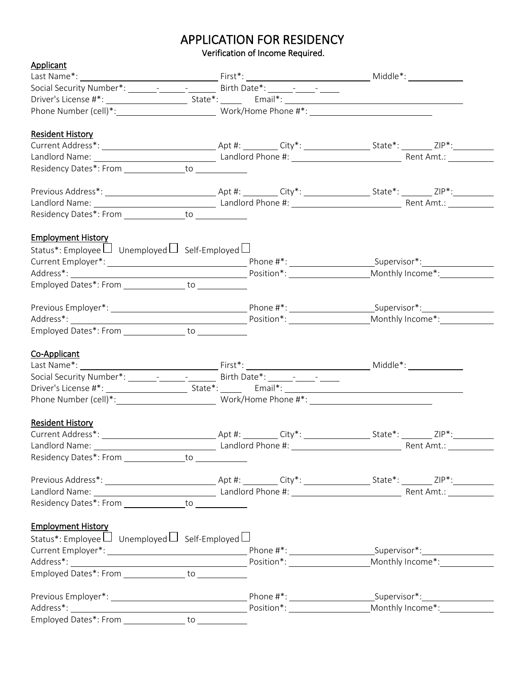### APPLICATION FOR RESIDENCY

Verification of Income Required.

| Applicant                                                       |  |  |
|-----------------------------------------------------------------|--|--|
|                                                                 |  |  |
|                                                                 |  |  |
|                                                                 |  |  |
|                                                                 |  |  |
| <b>Resident History</b>                                         |  |  |
|                                                                 |  |  |
|                                                                 |  |  |
| Residency Dates*: From _______________to _____________          |  |  |
|                                                                 |  |  |
|                                                                 |  |  |
| Residency Dates*: From _______________to _____________          |  |  |
| <b>Employment History</b>                                       |  |  |
| Status*: Employee $\Box$ Unemployed $\Box$ Self-Employed $\Box$ |  |  |
|                                                                 |  |  |
|                                                                 |  |  |
| Employed Dates*: From _______________ to ___________            |  |  |
|                                                                 |  |  |
|                                                                 |  |  |
| Employed Dates*: From ________________ to ___________           |  |  |
| Co-Applicant                                                    |  |  |
|                                                                 |  |  |
|                                                                 |  |  |
|                                                                 |  |  |
|                                                                 |  |  |
| <b>Resident History</b>                                         |  |  |
|                                                                 |  |  |
|                                                                 |  |  |
| Residency Dates*: From to to                                    |  |  |
|                                                                 |  |  |
|                                                                 |  |  |
| Residency Dates*: From _______________to _____________          |  |  |
| <b>Employment History</b>                                       |  |  |
| Status*: Employee $\Box$ Unemployed $\Box$ Self-Employed $\Box$ |  |  |
|                                                                 |  |  |
|                                                                 |  |  |
| Employed Dates*: From _______________ to ___________            |  |  |
|                                                                 |  |  |
|                                                                 |  |  |
| Employed Dates*: From _________________ to ____________         |  |  |